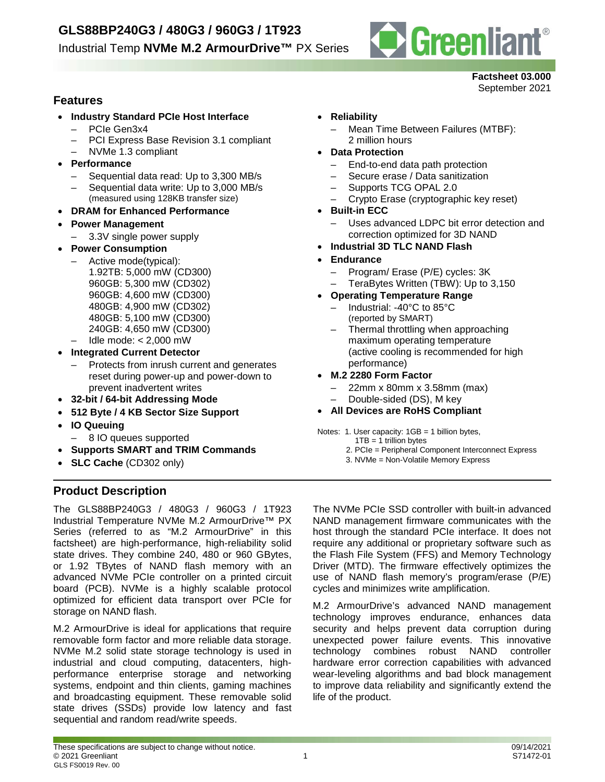

### **Factsheet 03.000**

September 2021

### **Features**

- **Industry Standard PCIe Host Interface** – PCIe Gen3x4
	- PCI Express Base Revision 3.1 compliant
	- NVMe 1.3 compliant
- **Performance**
	- Sequential data read: Up to 3,300 MB/s
	- Sequential data write: Up to 3,000 MB/s
	- (measured using 128KB transfer size)
- **DRAM for Enhanced Performance**
- **Power Management**
	- 3.3V single power supply
- **Power Consumption**
	- Active mode(typical): 1.92TB: 5,000 mW (CD300) 960GB: 5,300 mW (CD302) 960GB: 4,600 mW (CD300) 480GB: 4,900 mW (CD302) 480GB: 5,100 mW (CD300) 240GB: 4,650 mW (CD300)
	- Idle mode: < 2,000 mW
- **Integrated Current Detector**
	- Protects from inrush current and generates reset during power-up and power-down to prevent inadvertent writes
- **32-bit / 64-bit Addressing Mode**
- **512 Byte / 4 KB Sector Size Support**
- **IO Queuing**
	- 8 IO queues supported
- **Supports SMART and TRIM Commands**
- **SLC Cache** (CD302 only)

### **Product Description**

The GLS88BP240G3 / 480G3 / 960G3 / 1T923 Industrial Temperature NVMe M.2 ArmourDrive™ PX Series (referred to as "M.2 ArmourDrive" in this factsheet) are high-performance, high-reliability solid state drives. They combine 240, 480 or 960 GBytes, or 1.92 TBytes of NAND flash memory with an advanced NVMe PCIe controller on a printed circuit board (PCB). NVMe is a highly scalable protocol optimized for efficient data transport over PCIe for storage on NAND flash.

M.2 ArmourDrive is ideal for applications that require removable form factor and more reliable data storage. NVMe M.2 solid state storage technology is used in industrial and cloud computing, datacenters, highperformance enterprise storage and networking systems, endpoint and thin clients, gaming machines and broadcasting equipment. These removable solid state drives (SSDs) provide low latency and fast sequential and random read/write speeds.

- **Reliability**
	- Mean Time Between Failures (MTBF): 2 million hours
- **Data Protection**
	- End-to-end data path protection
	- Secure erase / Data sanitization
	- Supports TCG OPAL 2.0
	- Crypto Erase (cryptographic key reset)
- **Built-in ECC**
	- Uses advanced LDPC bit error detection and correction optimized for 3D NAND
- **Industrial 3D TLC NAND Flash**
- **Endurance**
	- Program/ Erase (P/E) cycles: 3K
	- TeraBytes Written (TBW): Up to 3,150
- **Operating Temperature Range**
	- Industrial: -40°C to 85°C (reported by SMART)
	- Thermal throttling when approaching maximum operating temperature (active cooling is recommended for high performance)
- **M.2 2280 Form Factor**
	- 22mm x 80mm x 3.58mm (max)
	- Double-sided (DS), M key
- **All Devices are RoHS Compliant**
- Notes: 1. User capacity: 1GB = 1 billion bytes,
	- $1TB = 1$  trillion bytes
	- 2. PCIe = Peripheral Component Interconnect Express
	- 3. NVMe = Non-Volatile Memory Express

The NVMe PCIe SSD controller with built-in advanced NAND management firmware communicates with the host through the standard PCIe interface. It does not require any additional or proprietary software such as the Flash File System (FFS) and Memory Technology Driver (MTD). The firmware effectively optimizes the use of NAND flash memory's program/erase (P/E) cycles and minimizes write amplification.

M.2 ArmourDrive's advanced NAND management technology improves endurance, enhances data security and helps prevent data corruption during unexpected power failure events. This innovative<br>technology combines robust NAND controller technology combines robust NAND controller hardware error correction capabilities with advanced wear-leveling algorithms and bad block management to improve data reliability and significantly extend the life of the product.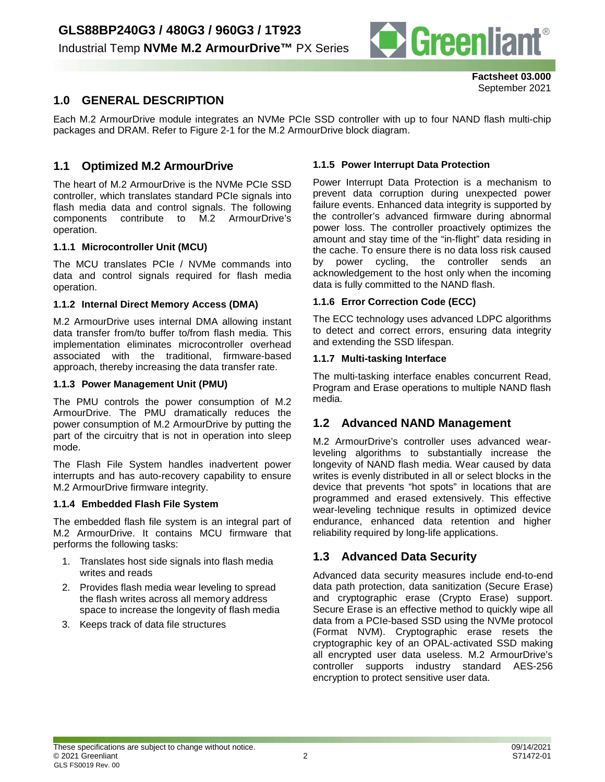

**Factsheet 03.000** September 2021

### **1.0 GENERAL DESCRIPTION**

Each M.2 ArmourDrive module integrates an NVMe PCIe SSD controller with up to four NAND flash multi-chip packages and DRAM. Refer to Figure 2-1 for the M.2 ArmourDrive block diagram.

### **1.1 Optimized M.2 ArmourDrive**

The heart of M.2 ArmourDrive is the NVMe PCIe SSD controller, which translates standard PCIe signals into flash media data and control signals. The following components contribute to M.2 ArmourDrive's operation.

#### **1.1.1 Microcontroller Unit (MCU)**

The MCU translates PCIe / NVMe commands into data and control signals required for flash media operation.

#### **1.1.2 Internal Direct Memory Access (DMA)**

M.2 ArmourDrive uses internal DMA allowing instant data transfer from/to buffer to/from flash media. This implementation eliminates microcontroller overhead associated with the traditional, firmware-based approach, thereby increasing the data transfer rate.

#### **1.1.3 Power Management Unit (PMU)**

The PMU controls the power consumption of M.2 ArmourDrive. The PMU dramatically reduces the power consumption of M.2 ArmourDrive by putting the part of the circuitry that is not in operation into sleep mode.

The Flash File System handles inadvertent power interrupts and has auto-recovery capability to ensure M.2 ArmourDrive firmware integrity.

#### **1.1.4 Embedded Flash File System**

The embedded flash file system is an integral part of M.2 ArmourDrive. It contains MCU firmware that performs the following tasks:

- 1. Translates host side signals into flash media writes and reads
- 2. Provides flash media wear leveling to spread the flash writes across all memory address space to increase the longevity of flash media
- 3. Keeps track of data file structures

#### **1.1.5 Power Interrupt Data Protection**

Power Interrupt Data Protection is a mechanism to prevent data corruption during unexpected power failure events. Enhanced data integrity is supported by the controller's advanced firmware during abnormal power loss. The controller proactively optimizes the amount and stay time of the "in-flight" data residing in the cache. To ensure there is no data loss risk caused by power cycling, the controller sends an acknowledgement to the host only when the incoming data is fully committed to the NAND flash.

#### **1.1.6 Error Correction Code (ECC)**

The ECC technology uses advanced LDPC algorithms to detect and correct errors, ensuring data integrity and extending the SSD lifespan.

#### **1.1.7 Multi-tasking Interface**

The multi-tasking interface enables concurrent Read, Program and Erase operations to multiple NAND flash media.

### **1.2 Advanced NAND Management**

M.2 ArmourDrive's controller uses advanced wearleveling algorithms to substantially increase the longevity of NAND flash media. Wear caused by data writes is evenly distributed in all or select blocks in the device that prevents "hot spots" in locations that are programmed and erased extensively. This effective wear-leveling technique results in optimized device endurance, enhanced data retention and higher reliability required by long-life applications.

### **1.3 Advanced Data Security**

Advanced data security measures include end-to-end data path protection, data sanitization (Secure Erase) and cryptographic erase (Crypto Erase) support. Secure Erase is an effective method to quickly wipe all data from a PCIe-based SSD using the NVMe protocol (Format NVM). Cryptographic erase resets the cryptographic key of an OPAL-activated SSD making all encrypted user data useless. M.2 ArmourDrive's controller supports industry standard AES-256 encryption to protect sensitive user data.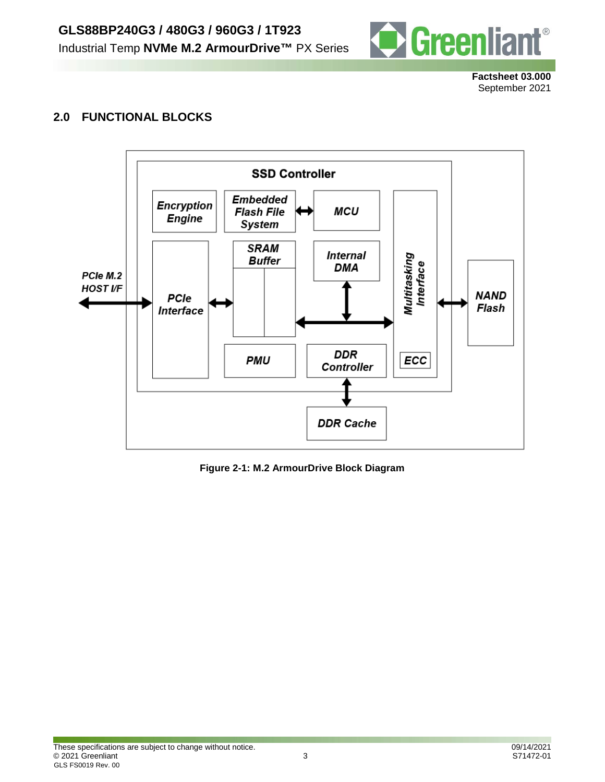

**Factsheet 03.000** September 2021

### **2.0 FUNCTIONAL BLOCKS**



**Figure 2-1: M.2 ArmourDrive Block Diagram**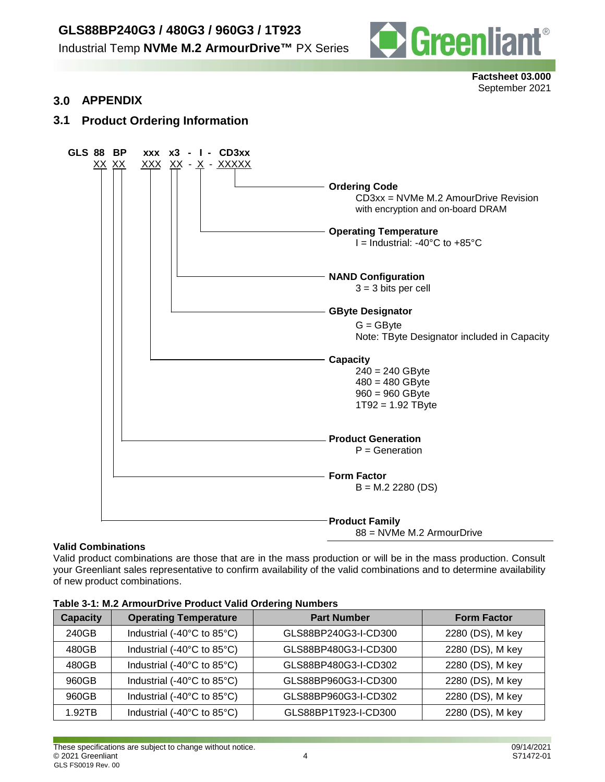# **GLS88BP240G3 / 480G3 / 960G3 / 1T923**

Industrial Temp **NVMe M.2 ArmourDrive™** PX Series



**Factsheet 03.000** September 2021

**3.0 APPENDIX**

### **3.1 Product Ordering Information**



#### **Valid Combinations**

Valid product combinations are those that are in the mass production or will be in the mass production. Consult your Greenliant sales representative to confirm availability of the valid combinations and to determine availability of new product combinations.

| <b>Capacity</b> | <b>Operating Temperature</b> | <b>Part Number</b>   | <b>Form Factor</b> |  |
|-----------------|------------------------------|----------------------|--------------------|--|
| 240GB           | Industrial (-40°C to 85°C)   | GLS88BP240G3-I-CD300 | 2280 (DS), M key   |  |
| 480GB           | Industrial (-40°C to 85°C)   | GLS88BP480G3-I-CD300 | 2280 (DS), M key   |  |
| 480GB           | Industrial (-40°C to 85°C)   | GLS88BP480G3-I-CD302 | 2280 (DS), M key   |  |
| 960GB           | Industrial (-40°C to 85°C)   | GLS88BP960G3-I-CD300 | 2280 (DS), M key   |  |
| 960GB           | Industrial (-40°C to 85°C)   | GLS88BP960G3-I-CD302 | 2280 (DS), M key   |  |
| 1.92TB          | Industrial (-40°C to 85°C)   | GLS88BP1T923-I-CD300 | 2280 (DS), M key   |  |

#### **Table 3-1: M.2 ArmourDrive Product Valid Ordering Numbers**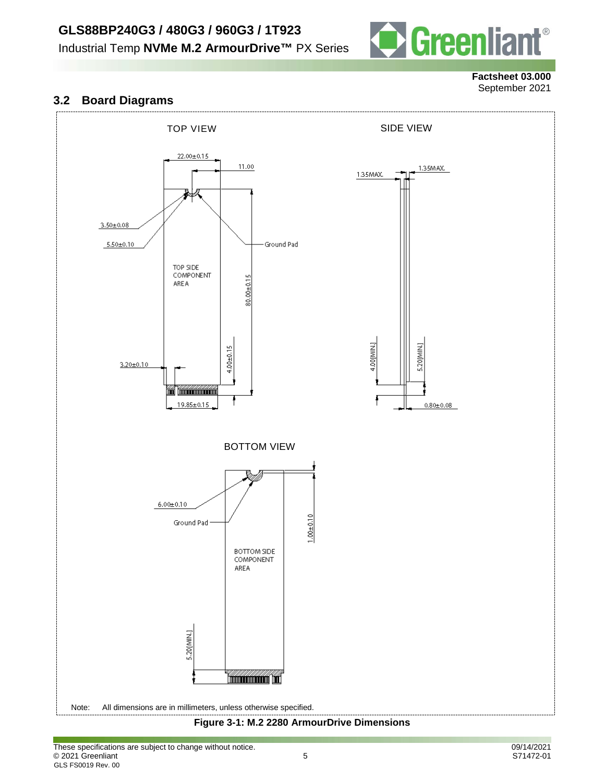



#### **Factsheet 03.000** September 2021

### **3.2 Board Diagrams**